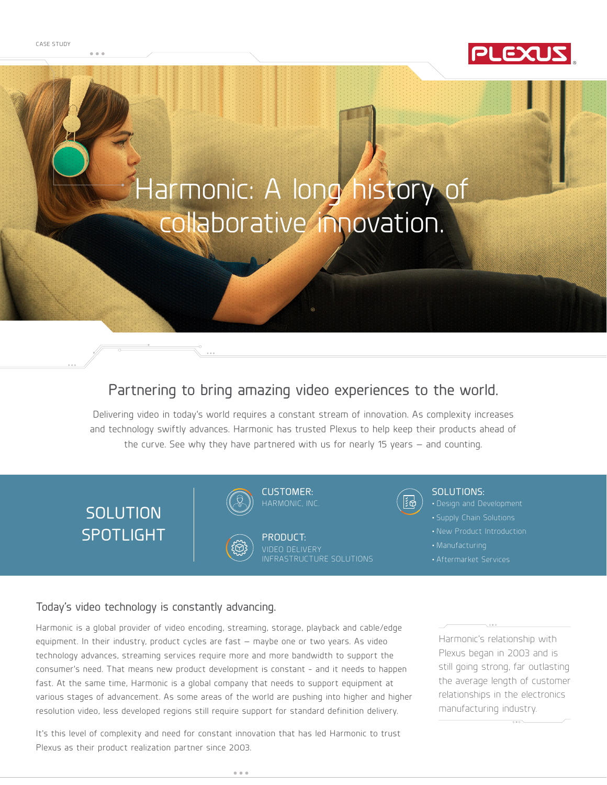

# Harmonic: A long history of collaborative innovation.

# Partnering to bring amazing video experiences to the world.

Delivering video in today's world requires a constant stream of innovation. As complexity increases and technology swiftly advances. Harmonic has trusted Plexus to help keep their products ahead of the curve. See why they have partnered with us for nearly 15 years — and counting.

**SOLUTION** SPOTLIGHT





HARMONIC, INC.

PRODUCT: VIDEO DELIVERY INFRASTRUCTURE SOLUTIONS



#### SOLUTIONS:

- 
- Supply Chain Solutions
- New Product Introduction
- 
- Aftermarket Services

# Today's video technology is constantly advancing.

Harmonic is a global provider of video encoding, streaming, storage, playback and cable/edge equipment. In their industry, product cycles are fast — maybe one or two years. As video technology advances, streaming services require more and more bandwidth to support the consumer's need. That means new product development is constant - and it needs to happen fast. At the same time, Harmonic is a global company that needs to support equipment at various stages of advancement. As some areas of the world are pushing into higher and higher resolution video, less developed regions still require support for standard definition delivery.

It's this level of complexity and need for constant innovation that has led Harmonic to trust Plexus as their product realization partner since 2003.

Harmonic's relationship with Plexus began in 2003 and is still going strong, far outlasting the average length of customer relationships in the electronics manufacturing industry.